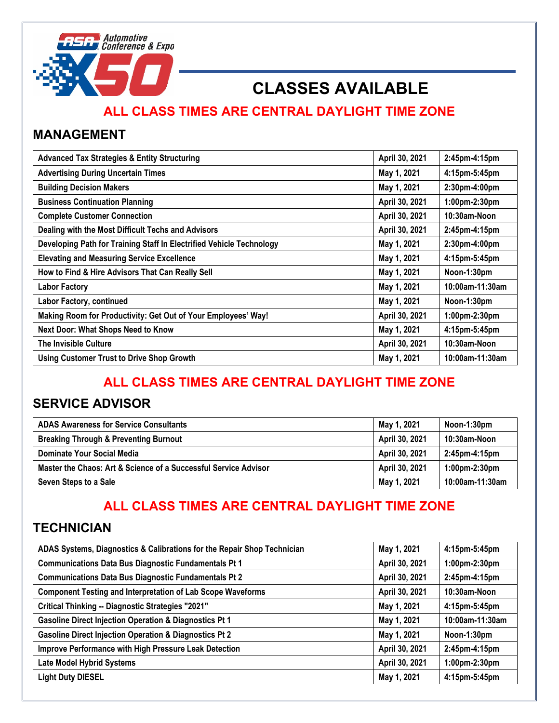

# **CLASSES AVAILABLE**

### **ALL CLASS TIMES ARE CENTRAL DAYLIGHT TIME ZONE**

#### **MANAGEMENT**

| <b>Advanced Tax Strategies &amp; Entity Structuring</b>              | April 30, 2021 | 2:45pm-4:15pm   |
|----------------------------------------------------------------------|----------------|-----------------|
| <b>Advertising During Uncertain Times</b>                            | May 1, 2021    | 4:15pm-5:45pm   |
| <b>Building Decision Makers</b>                                      | May 1, 2021    | 2:30pm-4:00pm   |
| <b>Business Continuation Planning</b>                                | April 30, 2021 | 1:00pm-2:30pm   |
| <b>Complete Customer Connection</b>                                  | April 30, 2021 | 10:30am-Noon    |
| Dealing with the Most Difficult Techs and Advisors                   | April 30, 2021 | 2:45pm-4:15pm   |
| Developing Path for Training Staff In Electrified Vehicle Technology | May 1, 2021    | 2:30pm-4:00pm   |
| <b>Elevating and Measuring Service Excellence</b>                    | May 1, 2021    | 4:15pm-5:45pm   |
| How to Find & Hire Advisors That Can Really Sell                     | May 1, 2021    | Noon-1:30pm     |
| <b>Labor Factory</b>                                                 | May 1, 2021    | 10:00am-11:30am |
| Labor Factory, continued                                             | May 1, 2021    | Noon-1:30pm     |
| Making Room for Productivity: Get Out of Your Employees' Way!        | April 30, 2021 | 1:00pm-2:30pm   |
| <b>Next Door: What Shops Need to Know</b>                            | May 1, 2021    | 4:15pm-5:45pm   |
| <b>The Invisible Culture</b>                                         | April 30, 2021 | 10:30am-Noon    |
| <b>Using Customer Trust to Drive Shop Growth</b>                     | May 1, 2021    | 10:00am-11:30am |

## **ALL CLASS TIMES ARE CENTRAL DAYLIGHT TIME ZONE**

#### **SERVICE ADVISOR**

| <b>ADAS Awareness for Service Consultants</b>                   | May 1, 2021    | Noon-1:30pm          |
|-----------------------------------------------------------------|----------------|----------------------|
| <b>Breaking Through &amp; Preventing Burnout</b>                | April 30, 2021 | 10:30am-Noon         |
| Dominate Your Social Media                                      | April 30, 2021 | 2:45pm-4:15pm        |
| Master the Chaos: Art & Science of a Successful Service Advisor | April 30, 2021 | $1:00$ pm-2: $30$ pm |
| Seven Steps to a Sale                                           | May 1, 2021    | 10:00am-11:30am      |

## **ALL CLASS TIMES ARE CENTRAL DAYLIGHT TIME ZONE**

#### **TECHNICIAN**

| ADAS Systems, Diagnostics & Calibrations for the Repair Shop Technician | May 1, 2021    | 4:15pm-5:45pm   |
|-------------------------------------------------------------------------|----------------|-----------------|
| <b>Communications Data Bus Diagnostic Fundamentals Pt 1</b>             | April 30, 2021 | 1:00pm-2:30pm   |
| <b>Communications Data Bus Diagnostic Fundamentals Pt 2</b>             | April 30, 2021 | 2:45pm-4:15pm   |
| <b>Component Testing and Interpretation of Lab Scope Waveforms</b>      | April 30, 2021 | 10:30am-Noon    |
| <b>Critical Thinking -- Diagnostic Strategies "2021"</b>                | May 1, 2021    | 4:15pm-5:45pm   |
| <b>Gasoline Direct Injection Operation &amp; Diagnostics Pt 1</b>       | May 1, 2021    | 10:00am-11:30am |
| <b>Gasoline Direct Injection Operation &amp; Diagnostics Pt 2</b>       | May 1, 2021    | Noon-1:30pm     |
| <b>Improve Performance with High Pressure Leak Detection</b>            | April 30, 2021 | 2:45pm-4:15pm   |
| <b>Late Model Hybrid Systems</b>                                        | April 30, 2021 | 1:00pm-2:30pm   |
| <b>Light Duty DIESEL</b>                                                | May 1, 2021    | 4:15pm-5:45pm   |